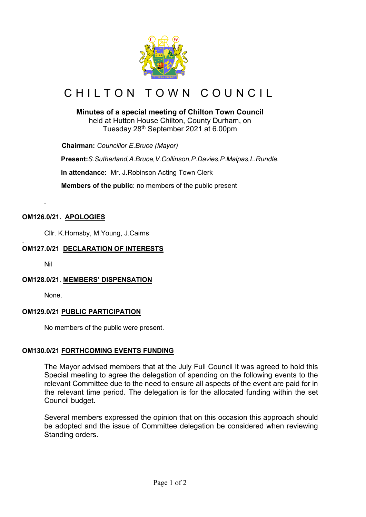

# CHILTON TOWN COUNCIL

## **Minutes of a special meeting of Chilton Town Council**

held at Hutton House Chilton, County Durham, on Tuesday 28th September 2021 at 6.00pm

 **Chairman:** *Councillor E.Bruce (Mayor)*

**Present:***S.Sutherland,A.Bruce,V.Collinson,P.Davies,P.Malpas,L.Rundle.*

**In attendance:** Mr. J.Robinson Acting Town Clerk

 **Members of the public**: no members of the public present

### **OM126.0/21. APOLOGIES**

Cllr. K.Hornsby, M.Young, J.Cairns

#### . **OM127.0/21 DECLARATION OF INTERESTS**

Nil

*.*

#### **OM128.0/21**. **MEMBERS' DISPENSATION**

None.

#### **OM129.0/21 PUBLIC PARTICIPATION**

No members of the public were present.

#### **OM130.0/21 FORTHCOMING EVENTS FUNDING**

The Mayor advised members that at the July Full Council it was agreed to hold this Special meeting to agree the delegation of spending on the following events to the relevant Committee due to the need to ensure all aspects of the event are paid for in the relevant time period. The delegation is for the allocated funding within the set Council budget.

Several members expressed the opinion that on this occasion this approach should be adopted and the issue of Committee delegation be considered when reviewing Standing orders.